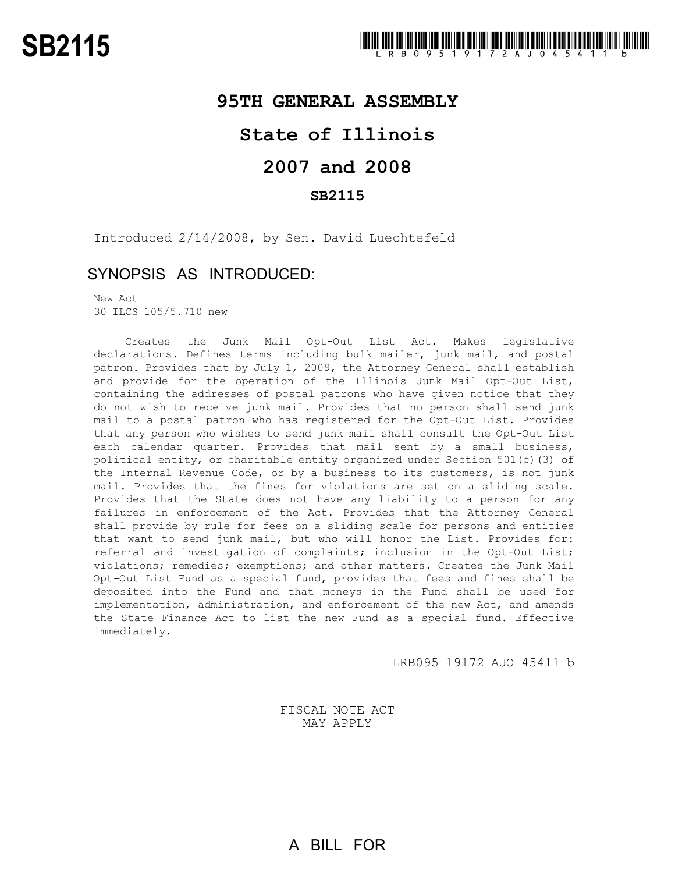## **95TH GENERAL ASSEMBLY**

## **State of Illinois**

# **2007 and 2008**

## **SB2115**

Introduced 2/14/2008, by Sen. David Luechtefeld

## SYNOPSIS AS INTRODUCED:

New Act 30 ILCS 105/5.710 new

Creates the Junk Mail Opt-Out List Act. Makes legislative declarations. Defines terms including bulk mailer, junk mail, and postal patron. Provides that by July 1, 2009, the Attorney General shall establish and provide for the operation of the Illinois Junk Mail Opt-Out List, containing the addresses of postal patrons who have given notice that they do not wish to receive junk mail. Provides that no person shall send junk mail to a postal patron who has registered for the Opt-Out List. Provides that any person who wishes to send junk mail shall consult the Opt-Out List each calendar quarter. Provides that mail sent by a small business, political entity, or charitable entity organized under Section 501(c)(3) of the Internal Revenue Code, or by a business to its customers, is not junk mail. Provides that the fines for violations are set on a sliding scale. Provides that the State does not have any liability to a person for any failures in enforcement of the Act. Provides that the Attorney General shall provide by rule for fees on a sliding scale for persons and entities that want to send junk mail, but who will honor the List. Provides for: referral and investigation of complaints; inclusion in the Opt-Out List; violations; remedies; exemptions; and other matters. Creates the Junk Mail Opt-Out List Fund as a special fund, provides that fees and fines shall be deposited into the Fund and that moneys in the Fund shall be used for implementation, administration, and enforcement of the new Act, and amends the State Finance Act to list the new Fund as a special fund. Effective immediately.

LRB095 19172 AJO 45411 b

FISCAL NOTE ACT MAY APPLY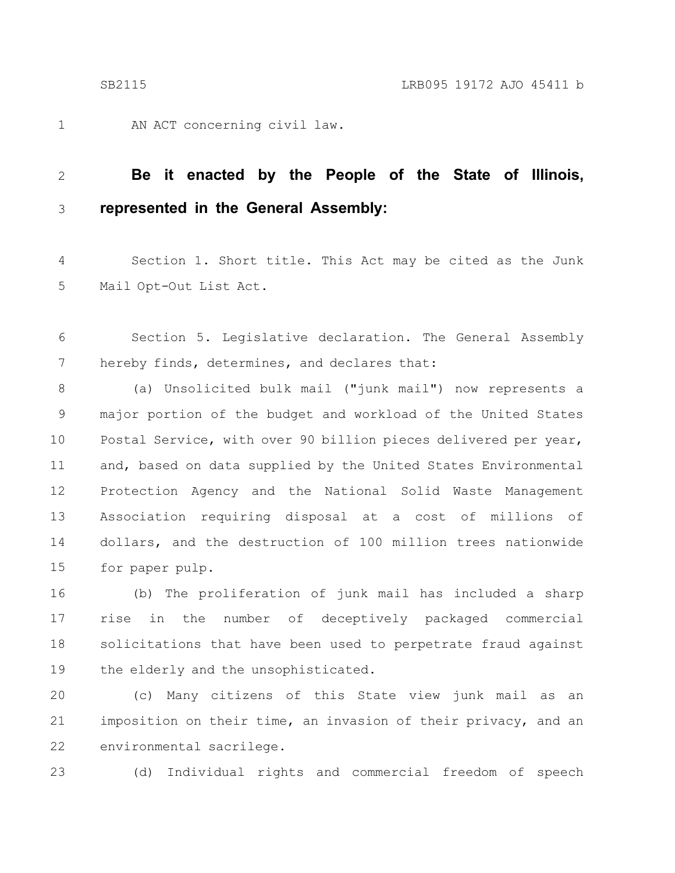1

AN ACT concerning civil law.

### **Be it enacted by the People of the State of Illinois, represented in the General Assembly:** 2 3

Section 1. Short title. This Act may be cited as the Junk Mail Opt-Out List Act. 4 5

Section 5. Legislative declaration. The General Assembly hereby finds, determines, and declares that: 6 7

(a) Unsolicited bulk mail ("junk mail") now represents a major portion of the budget and workload of the United States Postal Service, with over 90 billion pieces delivered per year, and, based on data supplied by the United States Environmental Protection Agency and the National Solid Waste Management Association requiring disposal at a cost of millions of dollars, and the destruction of 100 million trees nationwide for paper pulp. 8 9 10 11 12 13 14 15

(b) The proliferation of junk mail has included a sharp rise in the number of deceptively packaged commercial solicitations that have been used to perpetrate fraud against the elderly and the unsophisticated. 16 17 18 19

(c) Many citizens of this State view junk mail as an imposition on their time, an invasion of their privacy, and an environmental sacrilege. 20 21 22

23

(d) Individual rights and commercial freedom of speech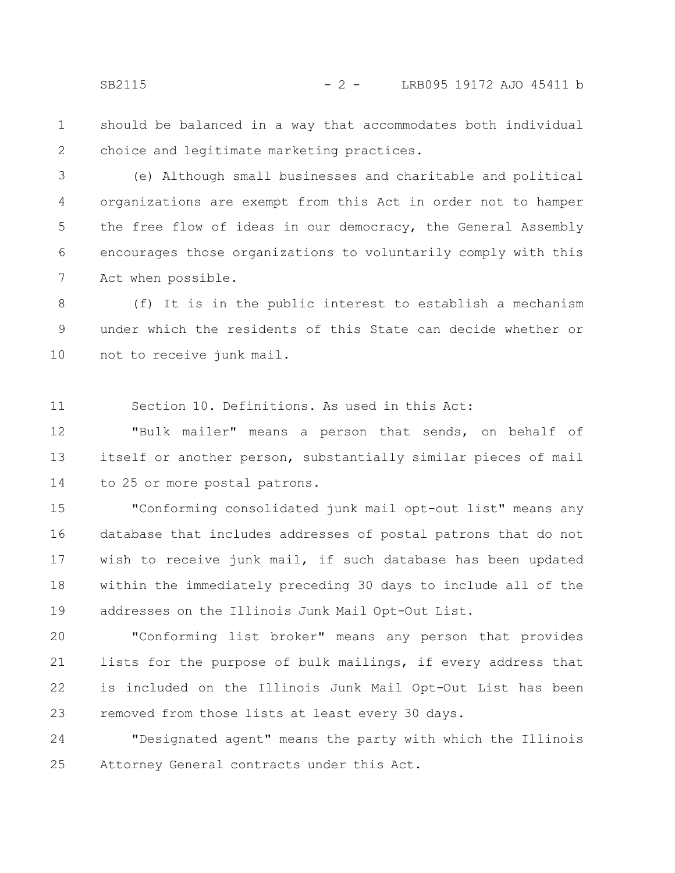should be balanced in a way that accommodates both individual choice and legitimate marketing practices. 1 2

(e) Although small businesses and charitable and political organizations are exempt from this Act in order not to hamper the free flow of ideas in our democracy, the General Assembly encourages those organizations to voluntarily comply with this Act when possible. 3 4 5 6 7

(f) It is in the public interest to establish a mechanism under which the residents of this State can decide whether or not to receive junk mail. 8 9 10

Section 10. Definitions. As used in this Act: 11

"Bulk mailer" means a person that sends, on behalf of itself or another person, substantially similar pieces of mail to 25 or more postal patrons. 12 13 14

"Conforming consolidated junk mail opt-out list" means any database that includes addresses of postal patrons that do not wish to receive junk mail, if such database has been updated within the immediately preceding 30 days to include all of the addresses on the Illinois Junk Mail Opt-Out List. 15 16 17 18 19

"Conforming list broker" means any person that provides lists for the purpose of bulk mailings, if every address that is included on the Illinois Junk Mail Opt-Out List has been removed from those lists at least every 30 days. 20 21 22 23

"Designated agent" means the party with which the Illinois Attorney General contracts under this Act. 24 25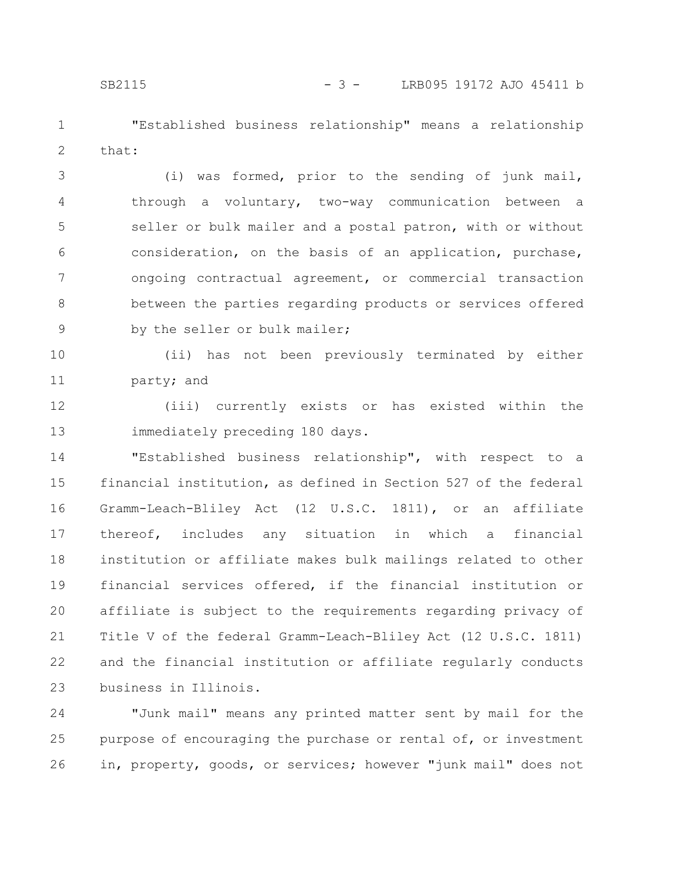"Established business relationship" means a relationship that: 1 2

(i) was formed, prior to the sending of junk mail, through a voluntary, two-way communication between a seller or bulk mailer and a postal patron, with or without consideration, on the basis of an application, purchase, ongoing contractual agreement, or commercial transaction between the parties regarding products or services offered by the seller or bulk mailer; 3 4 5 6 7 8 9

(ii) has not been previously terminated by either party; and 10 11

(iii) currently exists or has existed within the immediately preceding 180 days. 12 13

"Established business relationship", with respect to a financial institution, as defined in Section 527 of the federal Gramm-Leach-Bliley Act (12 U.S.C. 1811), or an affiliate thereof, includes any situation in which a financial institution or affiliate makes bulk mailings related to other financial services offered, if the financial institution or affiliate is subject to the requirements regarding privacy of Title V of the federal Gramm-Leach-Bliley Act (12 U.S.C. 1811) and the financial institution or affiliate regularly conducts business in Illinois. 14 15 16 17 18 19 20 21 22 23

"Junk mail" means any printed matter sent by mail for the purpose of encouraging the purchase or rental of, or investment in, property, goods, or services; however "junk mail" does not 24 25 26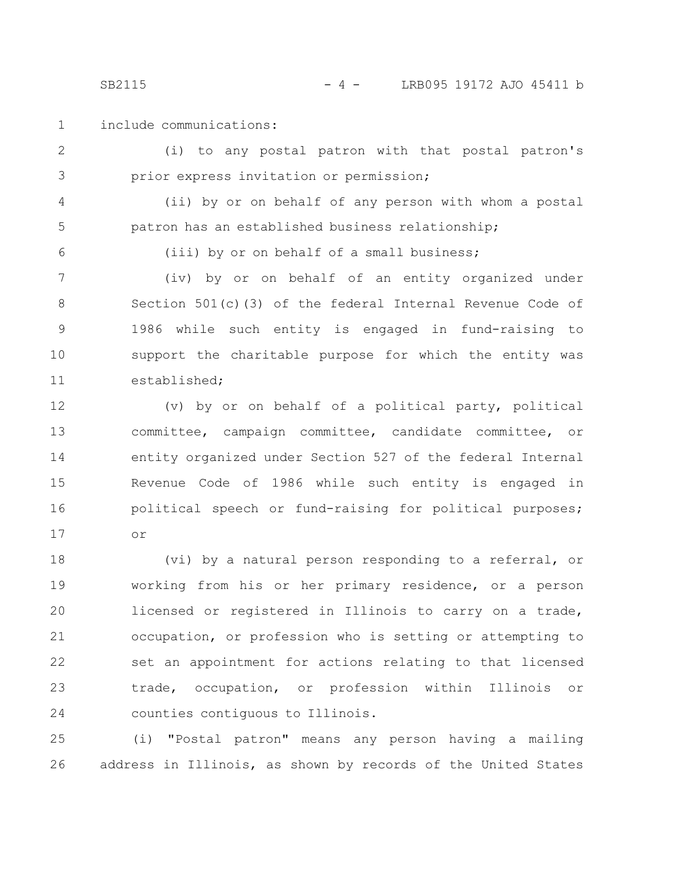SB2115 - 4 - LRB095 19172 AJO 45411 b

include communications: 1

(i) to any postal patron with that postal patron's prior express invitation or permission; 2 3

(ii) by or on behalf of any person with whom a postal patron has an established business relationship; 4 5

6

(iii) by or on behalf of a small business;

(iv) by or on behalf of an entity organized under Section 501(c)(3) of the federal Internal Revenue Code of 1986 while such entity is engaged in fund-raising to support the charitable purpose for which the entity was established; 7 8 9 10 11

(v) by or on behalf of a political party, political committee, campaign committee, candidate committee, or entity organized under Section 527 of the federal Internal Revenue Code of 1986 while such entity is engaged in political speech or fund-raising for political purposes; or 12 13 14 15 16 17

(vi) by a natural person responding to a referral, or working from his or her primary residence, or a person licensed or registered in Illinois to carry on a trade, occupation, or profession who is setting or attempting to set an appointment for actions relating to that licensed trade, occupation, or profession within Illinois or counties contiguous to Illinois. 18 19 20 21 22 23 24

(i) "Postal patron" means any person having a mailing address in Illinois, as shown by records of the United States 25 26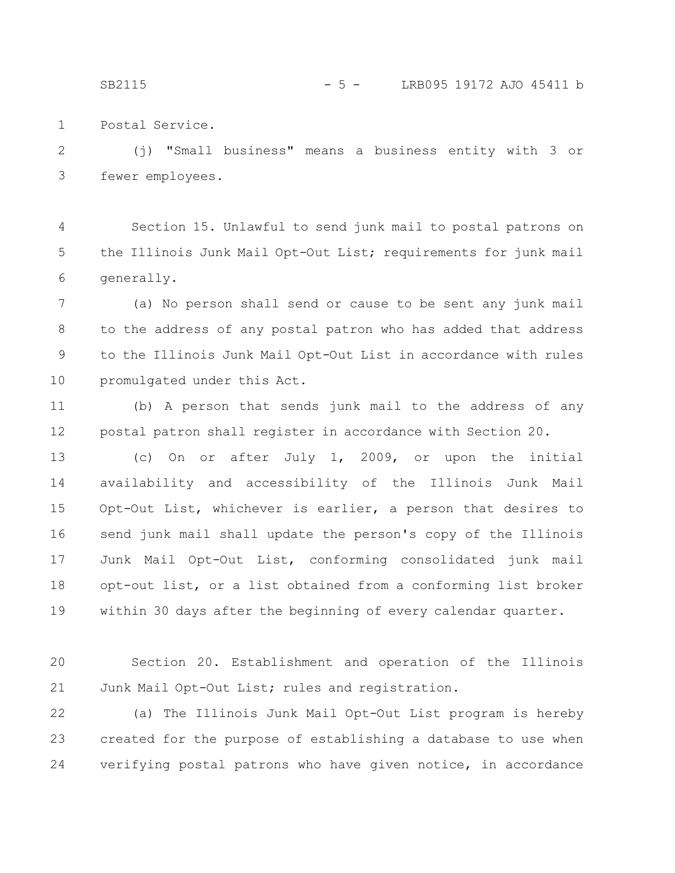SB2115 - 5 - LRB095 19172 AJO 45411 b

Postal Service. 1

(j) "Small business" means a business entity with 3 or fewer employees. 2 3

Section 15. Unlawful to send junk mail to postal patrons on the Illinois Junk Mail Opt-Out List; requirements for junk mail generally. 4 5 6

(a) No person shall send or cause to be sent any junk mail to the address of any postal patron who has added that address to the Illinois Junk Mail Opt-Out List in accordance with rules promulgated under this Act. 7 8 9 10

(b) A person that sends junk mail to the address of any postal patron shall register in accordance with Section 20. 11 12

(c) On or after July 1, 2009, or upon the initial availability and accessibility of the Illinois Junk Mail Opt-Out List, whichever is earlier, a person that desires to send junk mail shall update the person's copy of the Illinois Junk Mail Opt-Out List, conforming consolidated junk mail opt-out list, or a list obtained from a conforming list broker within 30 days after the beginning of every calendar quarter. 13 14 15 16 17 18 19

Section 20. Establishment and operation of the Illinois Junk Mail Opt-Out List; rules and registration. 20 21

(a) The Illinois Junk Mail Opt-Out List program is hereby created for the purpose of establishing a database to use when verifying postal patrons who have given notice, in accordance 22 23 24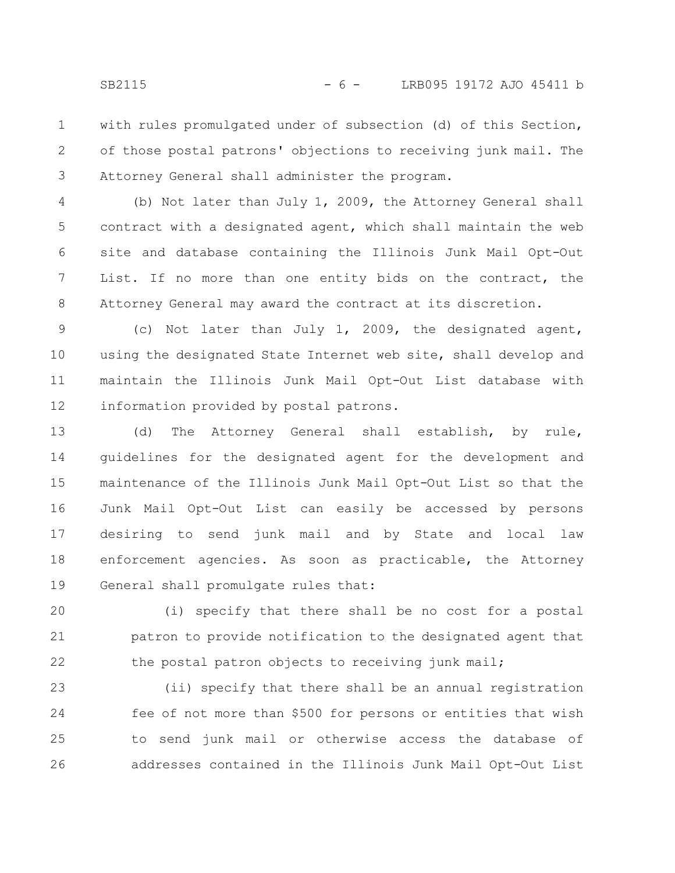with rules promulgated under of subsection (d) of this Section, of those postal patrons' objections to receiving junk mail. The Attorney General shall administer the program. 1 2 3

(b) Not later than July 1, 2009, the Attorney General shall contract with a designated agent, which shall maintain the web site and database containing the Illinois Junk Mail Opt-Out List. If no more than one entity bids on the contract, the Attorney General may award the contract at its discretion. 4 5 6 7 8

(c) Not later than July 1, 2009, the designated agent, using the designated State Internet web site, shall develop and maintain the Illinois Junk Mail Opt-Out List database with information provided by postal patrons. 9 10 11 12

(d) The Attorney General shall establish, by rule, guidelines for the designated agent for the development and maintenance of the Illinois Junk Mail Opt-Out List so that the Junk Mail Opt-Out List can easily be accessed by persons desiring to send junk mail and by State and local law enforcement agencies. As soon as practicable, the Attorney General shall promulgate rules that: 13 14 15 16 17 18 19

(i) specify that there shall be no cost for a postal patron to provide notification to the designated agent that the postal patron objects to receiving junk mail; 20 21 22

(ii) specify that there shall be an annual registration fee of not more than \$500 for persons or entities that wish to send junk mail or otherwise access the database of addresses contained in the Illinois Junk Mail Opt-Out List 23 24 25 26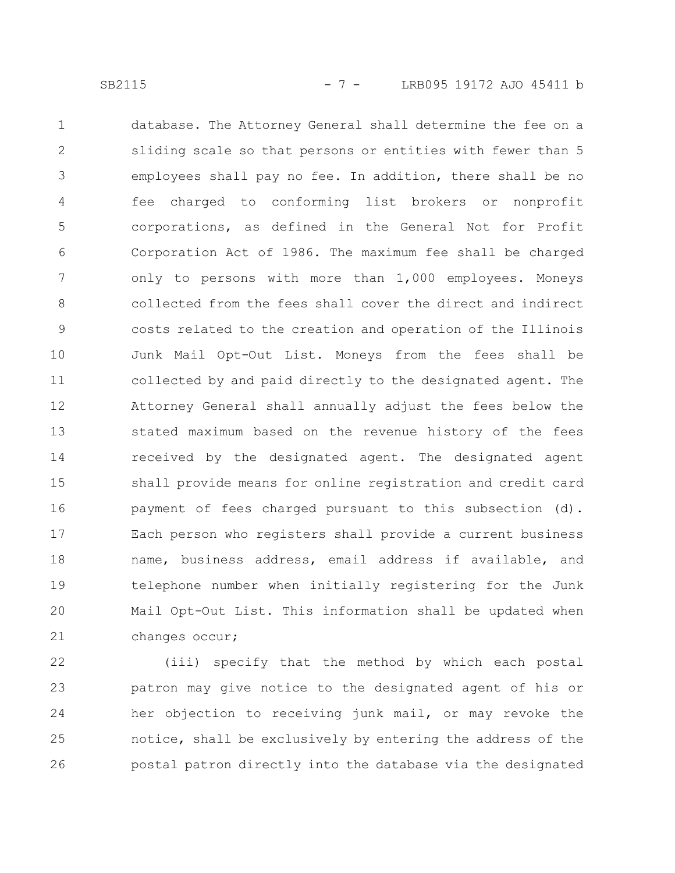database. The Attorney General shall determine the fee on a sliding scale so that persons or entities with fewer than 5 employees shall pay no fee. In addition, there shall be no fee charged to conforming list brokers or nonprofit corporations, as defined in the General Not for Profit Corporation Act of 1986. The maximum fee shall be charged only to persons with more than 1,000 employees. Moneys collected from the fees shall cover the direct and indirect costs related to the creation and operation of the Illinois Junk Mail Opt-Out List. Moneys from the fees shall be collected by and paid directly to the designated agent. The Attorney General shall annually adjust the fees below the stated maximum based on the revenue history of the fees received by the designated agent. The designated agent shall provide means for online registration and credit card payment of fees charged pursuant to this subsection (d). Each person who registers shall provide a current business name, business address, email address if available, and telephone number when initially registering for the Junk Mail Opt-Out List. This information shall be updated when changes occur; 1 2 3 4 5 6 7 8 9 10 11 12 13 14 15 16 17 18 19 20 21

(iii) specify that the method by which each postal patron may give notice to the designated agent of his or her objection to receiving junk mail, or may revoke the notice, shall be exclusively by entering the address of the postal patron directly into the database via the designated 22 23 24 25 26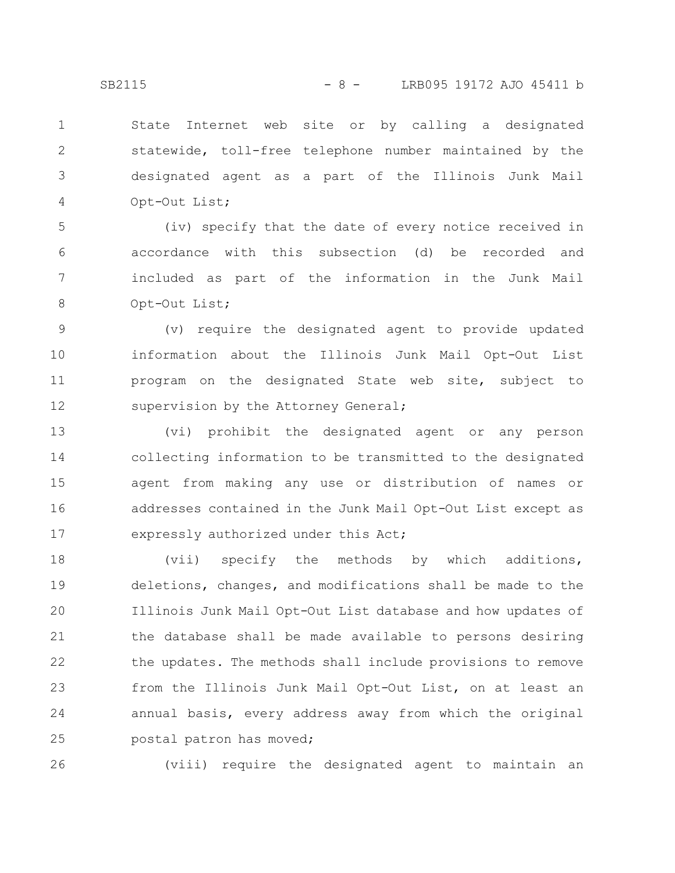State Internet web site or by calling a designated statewide, toll-free telephone number maintained by the designated agent as a part of the Illinois Junk Mail Opt-Out List; 1 2 3 4

(iv) specify that the date of every notice received in accordance with this subsection (d) be recorded and included as part of the information in the Junk Mail Opt-Out List; 5 6 7 8

(v) require the designated agent to provide updated information about the Illinois Junk Mail Opt-Out List program on the designated State web site, subject to supervision by the Attorney General; 9 10 11 12

(vi) prohibit the designated agent or any person collecting information to be transmitted to the designated agent from making any use or distribution of names or addresses contained in the Junk Mail Opt-Out List except as expressly authorized under this Act; 13 14 15 16 17

(vii) specify the methods by which additions, deletions, changes, and modifications shall be made to the Illinois Junk Mail Opt-Out List database and how updates of the database shall be made available to persons desiring the updates. The methods shall include provisions to remove from the Illinois Junk Mail Opt-Out List, on at least an annual basis, every address away from which the original postal patron has moved; 18 19 20 21 22 23 24 25

26

(viii) require the designated agent to maintain an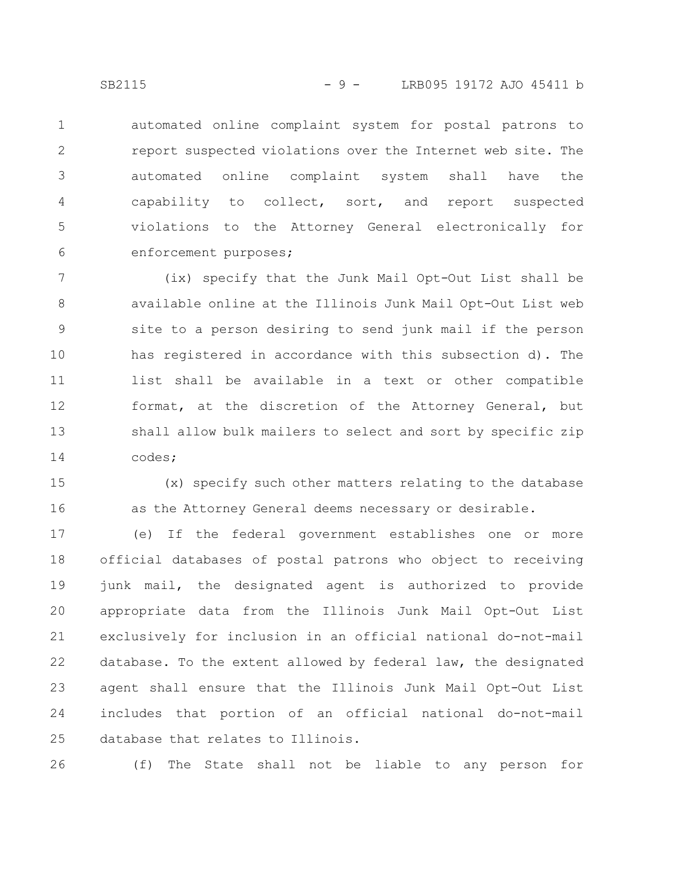automated online complaint system for postal patrons to report suspected violations over the Internet web site. The automated online complaint system shall have the capability to collect, sort, and report suspected violations to the Attorney General electronically for enforcement purposes; 1 2 3 4 5 6

(ix) specify that the Junk Mail Opt-Out List shall be available online at the Illinois Junk Mail Opt-Out List web site to a person desiring to send junk mail if the person has registered in accordance with this subsection d). The list shall be available in a text or other compatible format, at the discretion of the Attorney General, but shall allow bulk mailers to select and sort by specific zip codes; 7 8 9 10 11 12 13 14

(x) specify such other matters relating to the database as the Attorney General deems necessary or desirable. 15 16

(e) If the federal government establishes one or more official databases of postal patrons who object to receiving junk mail, the designated agent is authorized to provide appropriate data from the Illinois Junk Mail Opt-Out List exclusively for inclusion in an official national do-not-mail database. To the extent allowed by federal law, the designated agent shall ensure that the Illinois Junk Mail Opt-Out List includes that portion of an official national do-not-mail database that relates to Illinois. 17 18 19 20 21 22 23 24 25

(f) The State shall not be liable to any person for 26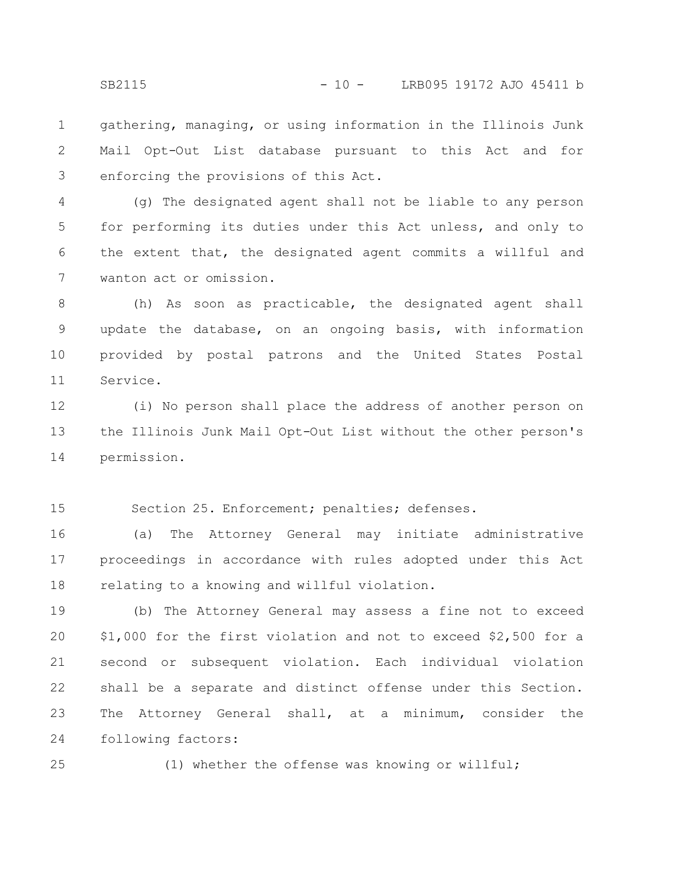gathering, managing, or using information in the Illinois Junk Mail Opt-Out List database pursuant to this Act and for enforcing the provisions of this Act. 1 2 3

(g) The designated agent shall not be liable to any person for performing its duties under this Act unless, and only to the extent that, the designated agent commits a willful and wanton act or omission. 4 5 6 7

(h) As soon as practicable, the designated agent shall update the database, on an ongoing basis, with information provided by postal patrons and the United States Postal Service. 8 9 10 11

(i) No person shall place the address of another person on the Illinois Junk Mail Opt-Out List without the other person's permission. 12 13 14

Section 25. Enforcement; penalties; defenses. 15

(a) The Attorney General may initiate administrative proceedings in accordance with rules adopted under this Act relating to a knowing and willful violation. 16 17 18

(b) The Attorney General may assess a fine not to exceed \$1,000 for the first violation and not to exceed \$2,500 for a second or subsequent violation. Each individual violation shall be a separate and distinct offense under this Section. The Attorney General shall, at a minimum, consider the following factors: 19 20 21 22 23 24

25

(1) whether the offense was knowing or willful;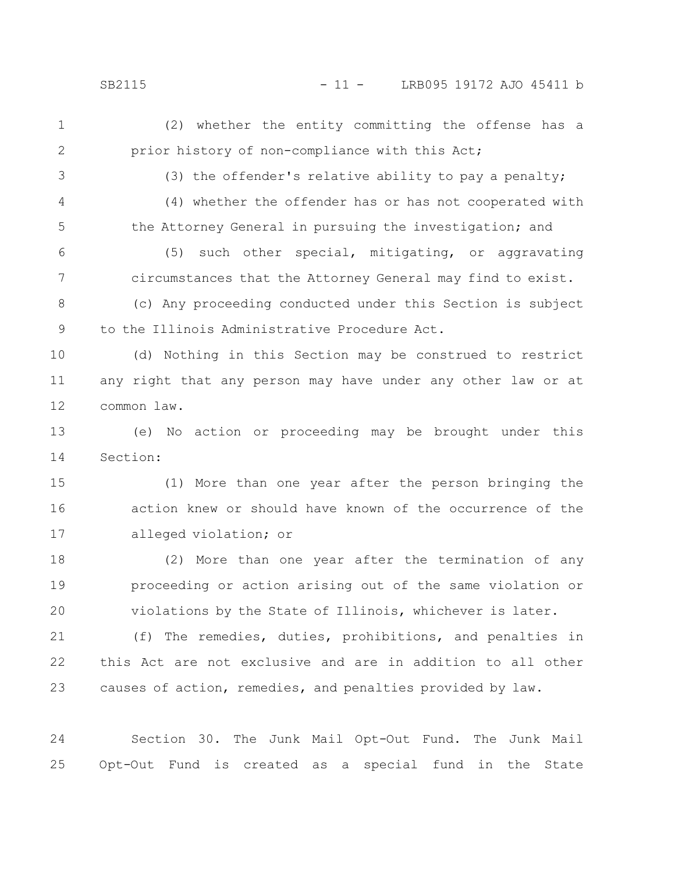SB2115 - 11 - LRB095 19172 AJO 45411 b

(2) whether the entity committing the offense has a prior history of non-compliance with this Act; 1 2

3

(3) the offender's relative ability to pay a penalty;

4

5

(4) whether the offender has or has not cooperated with

the Attorney General in pursuing the investigation; and

(5) such other special, mitigating, or aggravating circumstances that the Attorney General may find to exist. (c) Any proceeding conducted under this Section is subject to the Illinois Administrative Procedure Act. 6 7 8 9

(d) Nothing in this Section may be construed to restrict any right that any person may have under any other law or at common law. 10 11 12

(e) No action or proceeding may be brought under this Section: 13 14

(1) More than one year after the person bringing the action knew or should have known of the occurrence of the alleged violation; or 15 16 17

(2) More than one year after the termination of any proceeding or action arising out of the same violation or violations by the State of Illinois, whichever is later. 18 19 20

(f) The remedies, duties, prohibitions, and penalties in this Act are not exclusive and are in addition to all other causes of action, remedies, and penalties provided by law. 21 22 23

Section 30. The Junk Mail Opt-Out Fund. The Junk Mail Opt-Out Fund is created as a special fund in the State 24 25